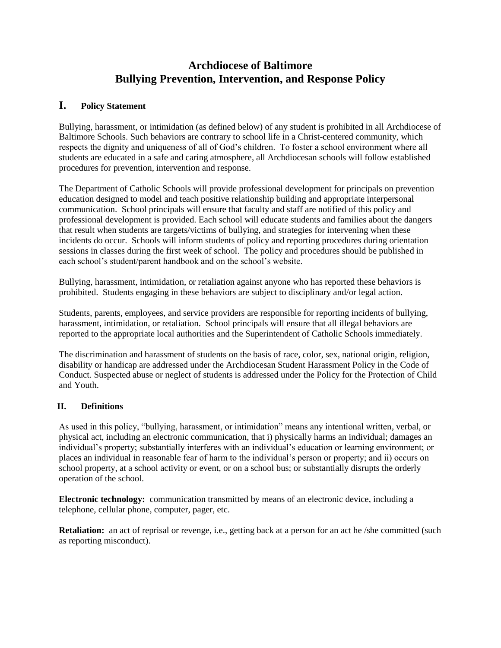# **Archdiocese of Baltimore Bullying Prevention, Intervention, and Response Policy**

# **I. Policy Statement**

Bullying, harassment, or intimidation (as defined below) of any student is prohibited in all Archdiocese of Baltimore Schools. Such behaviors are contrary to school life in a Christ-centered community, which respects the dignity and uniqueness of all of God's children. To foster a school environment where all students are educated in a safe and caring atmosphere, all Archdiocesan schools will follow established procedures for prevention, intervention and response.

The Department of Catholic Schools will provide professional development for principals on prevention education designed to model and teach positive relationship building and appropriate interpersonal communication. School principals will ensure that faculty and staff are notified of this policy and professional development is provided. Each school will educate students and families about the dangers that result when students are targets/victims of bullying, and strategies for intervening when these incidents do occur. Schools will inform students of policy and reporting procedures during orientation sessions in classes during the first week of school. The policy and procedures should be published in each school's student/parent handbook and on the school's website.

Bullying, harassment, intimidation, or retaliation against anyone who has reported these behaviors is prohibited. Students engaging in these behaviors are subject to disciplinary and/or legal action.

Students, parents, employees, and service providers are responsible for reporting incidents of bullying, harassment, intimidation, or retaliation. School principals will ensure that all illegal behaviors are reported to the appropriate local authorities and the Superintendent of Catholic Schools immediately.

The discrimination and harassment of students on the basis of race, color, sex, national origin, religion, disability or handicap are addressed under the Archdiocesan Student Harassment Policy in the Code of Conduct. Suspected abuse or neglect of students is addressed under the Policy for the Protection of Child and Youth.

# **II. Definitions**

As used in this policy, "bullying, harassment, or intimidation" means any intentional written, verbal, or physical act, including an electronic communication, that i) physically harms an individual; damages an individual's property; substantially interferes with an individual's education or learning environment; or places an individual in reasonable fear of harm to the individual's person or property; and ii) occurs on school property, at a school activity or event, or on a school bus; or substantially disrupts the orderly operation of the school.

**Electronic technology:** communication transmitted by means of an electronic device, including a telephone, cellular phone, computer, pager, etc.

**Retaliation:** an act of reprisal or revenge, i.e., getting back at a person for an act he /she committed (such as reporting misconduct).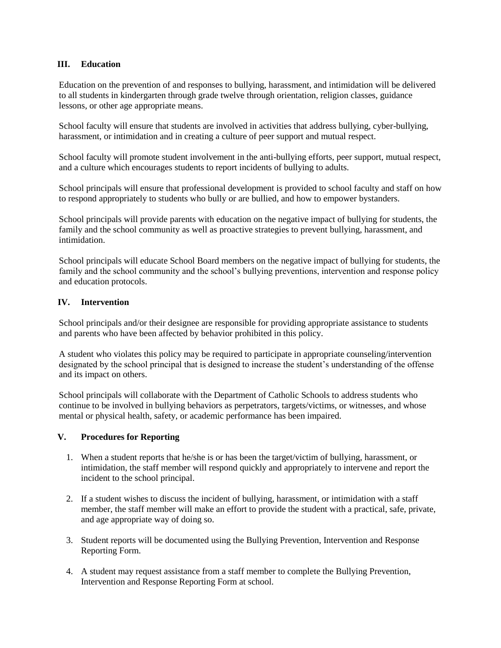#### **III. Education**

Education on the prevention of and responses to bullying, harassment, and intimidation will be delivered to all students in kindergarten through grade twelve through orientation, religion classes, guidance lessons, or other age appropriate means.

School faculty will ensure that students are involved in activities that address bullying, cyber-bullying, harassment, or intimidation and in creating a culture of peer support and mutual respect.

School faculty will promote student involvement in the anti-bullying efforts, peer support, mutual respect, and a culture which encourages students to report incidents of bullying to adults.

School principals will ensure that professional development is provided to school faculty and staff on how to respond appropriately to students who bully or are bullied, and how to empower bystanders.

School principals will provide parents with education on the negative impact of bullying for students, the family and the school community as well as proactive strategies to prevent bullying, harassment, and intimidation.

School principals will educate School Board members on the negative impact of bullying for students, the family and the school community and the school's bullying preventions, intervention and response policy and education protocols.

## **IV. Intervention**

School principals and/or their designee are responsible for providing appropriate assistance to students and parents who have been affected by behavior prohibited in this policy.

A student who violates this policy may be required to participate in appropriate counseling/intervention designated by the school principal that is designed to increase the student's understanding of the offense and its impact on others.

School principals will collaborate with the Department of Catholic Schools to address students who continue to be involved in bullying behaviors as perpetrators, targets/victims, or witnesses, and whose mental or physical health, safety, or academic performance has been impaired.

# **V. Procedures for Reporting**

- 1. When a student reports that he/she is or has been the target/victim of bullying, harassment, or intimidation, the staff member will respond quickly and appropriately to intervene and report the incident to the school principal.
- 2. If a student wishes to discuss the incident of bullying, harassment, or intimidation with a staff member, the staff member will make an effort to provide the student with a practical, safe, private, and age appropriate way of doing so.
- 3. Student reports will be documented using the Bullying Prevention, Intervention and Response Reporting Form.
- 4. A student may request assistance from a staff member to complete the Bullying Prevention, Intervention and Response Reporting Form at school.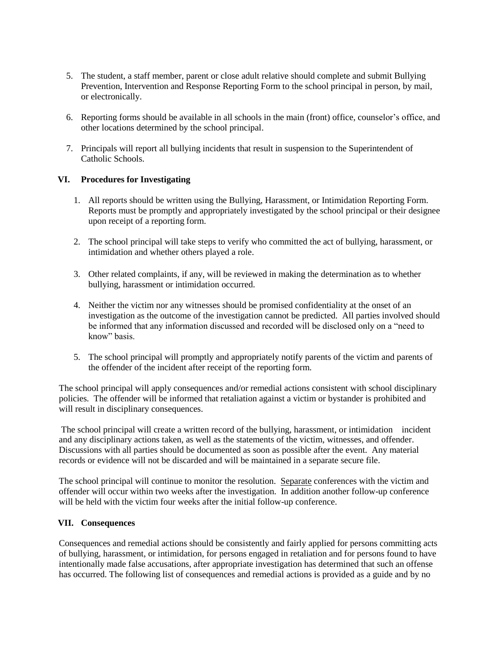- 5. The student, a staff member, parent or close adult relative should complete and submit Bullying Prevention, Intervention and Response Reporting Form to the school principal in person, by mail, or electronically.
- 6. Reporting forms should be available in all schools in the main (front) office, counselor's office, and other locations determined by the school principal.
- 7. Principals will report all bullying incidents that result in suspension to the Superintendent of Catholic Schools.

## **VI. Procedures for Investigating**

- 1. All reports should be written using the Bullying, Harassment, or Intimidation Reporting Form. Reports must be promptly and appropriately investigated by the school principal or their designee upon receipt of a reporting form.
- 2. The school principal will take steps to verify who committed the act of bullying, harassment, or intimidation and whether others played a role.
- 3. Other related complaints, if any, will be reviewed in making the determination as to whether bullying, harassment or intimidation occurred.
- 4. Neither the victim nor any witnesses should be promised confidentiality at the onset of an investigation as the outcome of the investigation cannot be predicted. All parties involved should be informed that any information discussed and recorded will be disclosed only on a "need to know" basis.
- 5. The school principal will promptly and appropriately notify parents of the victim and parents of the offender of the incident after receipt of the reporting form.

The school principal will apply consequences and/or remedial actions consistent with school disciplinary policies*.* The offender will be informed that retaliation against a victim or bystander is prohibited and will result in disciplinary consequences.

The school principal will create a written record of the bullying, harassment, or intimidation incident and any disciplinary actions taken, as well as the statements of the victim, witnesses, and offender. Discussions with all parties should be documented as soon as possible after the event. Any material records or evidence will not be discarded and will be maintained in a separate secure file.

The school principal will continue to monitor the resolution. Separate conferences with the victim and offender will occur within two weeks after the investigation. In addition another follow-up conference will be held with the victim four weeks after the initial follow-up conference.

#### **VII. Consequences**

Consequences and remedial actions should be consistently and fairly applied for persons committing acts of bullying, harassment, or intimidation, for persons engaged in retaliation and for persons found to have intentionally made false accusations, after appropriate investigation has determined that such an offense has occurred. The following list of consequences and remedial actions is provided as a guide and by no